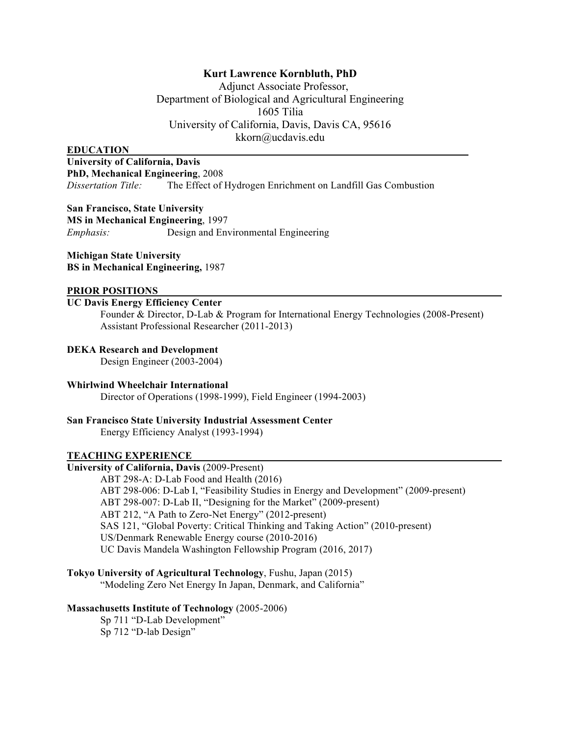## **Kurt Lawrence Kornbluth, PhD**

Adjunct Associate Professor, Department of Biological and Agricultural Engineering 1605 Tilia University of California, Davis, Davis CA, 95616 kkorn@ucdavis.edu

#### **EDUCATION**

**University of California, Davis PhD, Mechanical Engineering**, 2008 *Dissertation Title:* The Effect of Hydrogen Enrichment on Landfill Gas Combustion

**San Francisco, State University MS in Mechanical Engineering**, 1997 *Emphasis:* Design and Environmental Engineering

**Michigan State University BS in Mechanical Engineering,** 1987

## **PRIOR POSITIONS**

## **UC Davis Energy Efficiency Center**

Founder & Director, D-Lab & Program for International Energy Technologies (2008-Present) Assistant Professional Researcher (2011-2013)

**DEKA Research and Development**

Design Engineer (2003-2004)

## **Whirlwind Wheelchair International**

Director of Operations (1998-1999), Field Engineer (1994-2003)

# **San Francisco State University Industrial Assessment Center**

Energy Efficiency Analyst (1993-1994)

## **TEACHING EXPERIENCE**

## **University of California, Davis** (2009-Present)

ABT 298-A: D-Lab Food and Health (2016) ABT 298-006: D-Lab I, "Feasibility Studies in Energy and Development" (2009-present) ABT 298-007: D-Lab II, "Designing for the Market" (2009-present) ABT 212, "A Path to Zero-Net Energy" (2012-present) SAS 121, "Global Poverty: Critical Thinking and Taking Action" (2010-present) US/Denmark Renewable Energy course (2010-2016) UC Davis Mandela Washington Fellowship Program (2016, 2017)

**Tokyo University of Agricultural Technology**, Fushu, Japan (2015)

"Modeling Zero Net Energy In Japan, Denmark, and California"

#### **Massachusetts Institute of Technology** (2005-2006)

Sp 711 "D-Lab Development" Sp 712 "D-lab Design"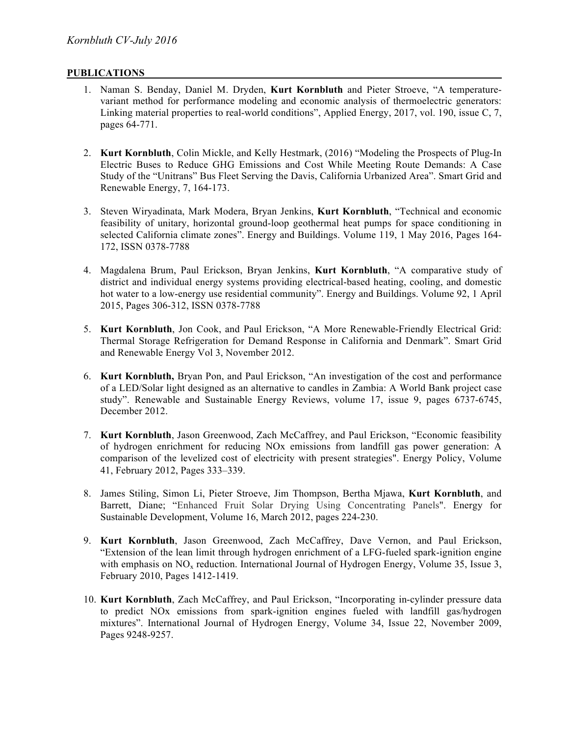## **PUBLICATIONS**

- 1. Naman S. Benday, Daniel M. Dryden, **Kurt Kornbluth** and Pieter Stroeve, "A temperaturevariant method for performance modeling and economic analysis of thermoelectric generators: Linking material properties to real-world conditions", Applied Energy, 2017, vol. 190, issue C, 7, pages 64-771.
- 2. **Kurt Kornbluth**, Colin Mickle, and Kelly Hestmark, (2016) "Modeling the Prospects of Plug-In Electric Buses to Reduce GHG Emissions and Cost While Meeting Route Demands: A Case Study of the "Unitrans" Bus Fleet Serving the Davis, California Urbanized Area". Smart Grid and Renewable Energy, 7, 164-173.
- 3. Steven Wiryadinata, Mark Modera, Bryan Jenkins, **Kurt Kornbluth**, "Technical and economic feasibility of unitary, horizontal ground-loop geothermal heat pumps for space conditioning in selected California climate zones". Energy and Buildings. Volume 119, 1 May 2016, Pages 164- 172, ISSN 0378-7788
- 4. Magdalena Brum, Paul Erickson, Bryan Jenkins, **Kurt Kornbluth**, "A comparative study of district and individual energy systems providing electrical-based heating, cooling, and domestic hot water to a low-energy use residential community". Energy and Buildings. Volume 92, 1 April 2015, Pages 306-312, ISSN 0378-7788
- 5. **Kurt Kornbluth**, Jon Cook, and Paul Erickson, "A More Renewable-Friendly Electrical Grid: Thermal Storage Refrigeration for Demand Response in California and Denmark". Smart Grid and Renewable Energy Vol 3, November 2012.
- 6. **Kurt Kornbluth,** Bryan Pon, and Paul Erickson, "An investigation of the cost and performance of a LED/Solar light designed as an alternative to candles in Zambia: A World Bank project case study". Renewable and Sustainable Energy Reviews, volume 17, issue 9, pages 6737-6745, December 2012.
- 7. **Kurt Kornbluth**, Jason Greenwood, Zach McCaffrey, and Paul Erickson, "Economic feasibility of hydrogen enrichment for reducing NOx emissions from landfill gas power generation: A comparison of the levelized cost of electricity with present strategies". Energy Policy, Volume 41, February 2012, Pages 333–339.
- 8. James Stiling, Simon Li, Pieter Stroeve, Jim Thompson, Bertha Mjawa, **Kurt Kornbluth**, and Barrett, Diane; "Enhanced Fruit Solar Drying Using Concentrating Panels". Energy for Sustainable Development, Volume 16, March 2012, pages 224-230.
- 9. **Kurt Kornbluth**, Jason Greenwood, Zach McCaffrey, Dave Vernon, and Paul Erickson, "Extension of the lean limit through hydrogen enrichment of a LFG-fueled spark-ignition engine with emphasis on  $NO<sub>x</sub>$  reduction. International Journal of Hydrogen Energy, Volume 35, Issue 3, February 2010, Pages 1412-1419.
- 10. **Kurt Kornbluth**, Zach McCaffrey, and Paul Erickson, "Incorporating in-cylinder pressure data to predict NOx emissions from spark-ignition engines fueled with landfill gas/hydrogen mixtures". International Journal of Hydrogen Energy, Volume 34, Issue 22, November 2009, Pages 9248-9257.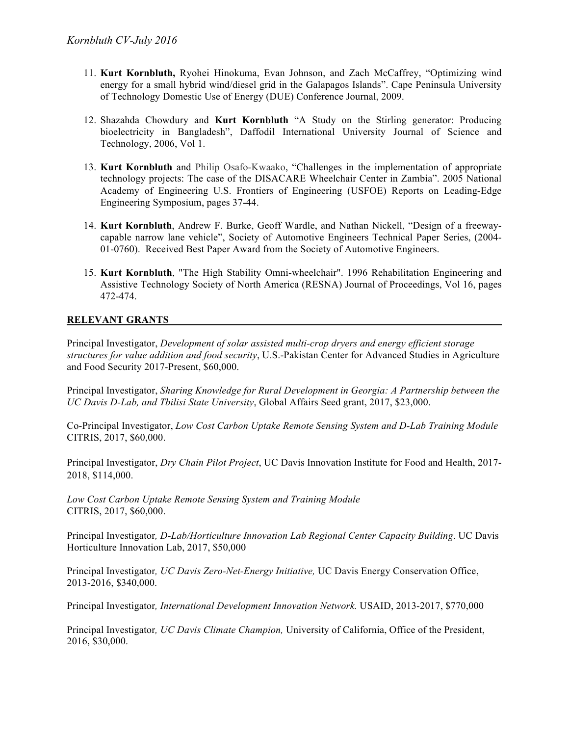- 11. **Kurt Kornbluth,** Ryohei Hinokuma, Evan Johnson, and Zach McCaffrey, "Optimizing wind energy for a small hybrid wind/diesel grid in the Galapagos Islands". Cape Peninsula University of Technology Domestic Use of Energy (DUE) Conference Journal, 2009.
- 12. Shazahda Chowdury and **Kurt Kornbluth** "A Study on the Stirling generator: Producing bioelectricity in Bangladesh", Daffodil International University Journal of Science and Technology, 2006, Vol 1.
- 13. **Kurt Kornbluth** and Philip Osafo-Kwaako, "Challenges in the implementation of appropriate technology projects: The case of the DISACARE Wheelchair Center in Zambia". 2005 National Academy of Engineering U.S. Frontiers of Engineering (USFOE) Reports on Leading-Edge Engineering Symposium, pages 37-44.
- 14. **Kurt Kornbluth**, Andrew F. Burke, Geoff Wardle, and Nathan Nickell, "Design of a freewaycapable narrow lane vehicle", Society of Automotive Engineers Technical Paper Series, (2004- 01-0760). Received Best Paper Award from the Society of Automotive Engineers.
- 15. **Kurt Kornbluth**, "The High Stability Omni-wheelchair". 1996 Rehabilitation Engineering and Assistive Technology Society of North America (RESNA) Journal of Proceedings, Vol 16, pages 472-474.

## **RELEVANT GRANTS**

Principal Investigator, *Development of solar assisted multi-crop dryers and energy efficient storage structures for value addition and food security*, U.S.-Pakistan Center for Advanced Studies in Agriculture and Food Security 2017-Present, \$60,000.

Principal Investigator, *Sharing Knowledge for Rural Development in Georgia: A Partnership between the UC Davis D-Lab, and Tbilisi State University*, Global Affairs Seed grant, 2017, \$23,000.

Co-Principal Investigator, *Low Cost Carbon Uptake Remote Sensing System and D-Lab Training Module* CITRIS, 2017, \$60,000.

Principal Investigator, *Dry Chain Pilot Project*, UC Davis Innovation Institute for Food and Health, 2017- 2018, \$114,000.

*Low Cost Carbon Uptake Remote Sensing System and Training Module* CITRIS, 2017, \$60,000.

Principal Investigator*, D-Lab/Horticulture Innovation Lab Regional Center Capacity Building*. UC Davis Horticulture Innovation Lab, 2017, \$50,000

Principal Investigator*, UC Davis Zero-Net-Energy Initiative,* UC Davis Energy Conservation Office, 2013-2016, \$340,000.

Principal Investigator*, International Development Innovation Network.* USAID, 2013-2017, \$770,000

Principal Investigator*, UC Davis Climate Champion,* University of California, Office of the President, 2016, \$30,000.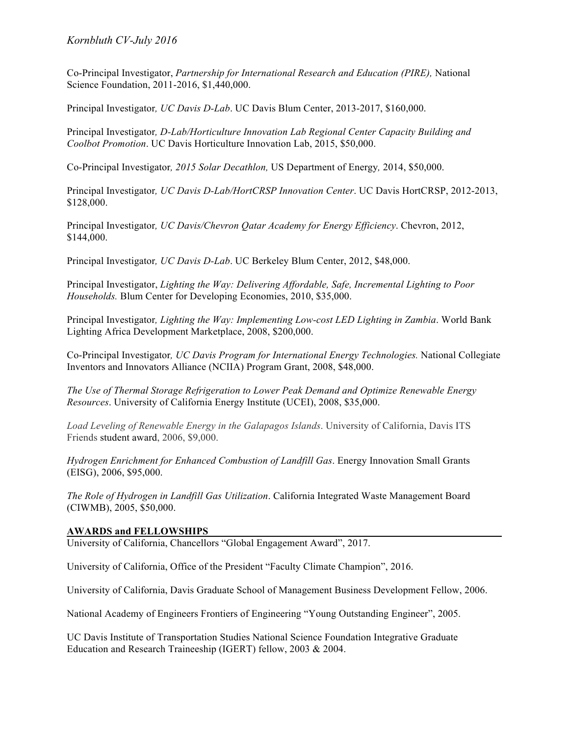# *Kornbluth CV-July 2016*

Co-Principal Investigator, *Partnership for International Research and Education (PIRE),* National Science Foundation, 2011-2016, \$1,440,000.

Principal Investigator*, UC Davis D-Lab*. UC Davis Blum Center, 2013-2017, \$160,000.

Principal Investigator*, D-Lab/Horticulture Innovation Lab Regional Center Capacity Building and Coolbot Promotion*. UC Davis Horticulture Innovation Lab, 2015, \$50,000.

Co-Principal Investigator*, 2015 Solar Decathlon,* US Department of Energy*,* 2014, \$50,000.

Principal Investigator*, UC Davis D-Lab/HortCRSP Innovation Center*. UC Davis HortCRSP, 2012-2013, \$128,000.

Principal Investigator*, UC Davis/Chevron Qatar Academy for Energy Efficiency*. Chevron, 2012, \$144,000.

Principal Investigator*, UC Davis D-Lab*. UC Berkeley Blum Center, 2012, \$48,000.

Principal Investigator, *Lighting the Way: Delivering Affordable, Safe, Incremental Lighting to Poor Households.* Blum Center for Developing Economies, 2010, \$35,000.

Principal Investigator*, Lighting the Way: Implementing Low-cost LED Lighting in Zambia*. World Bank Lighting Africa Development Marketplace, 2008, \$200,000.

Co-Principal Investigator*, UC Davis Program for International Energy Technologies.* National Collegiate Inventors and Innovators Alliance (NCIIA) Program Grant, 2008, \$48,000.

*The Use of Thermal Storage Refrigeration to Lower Peak Demand and Optimize Renewable Energy Resources*. University of California Energy Institute (UCEI), 2008, \$35,000.

*Load Leveling of Renewable Energy in the Galapagos Islands*. University of California, Davis ITS Friends student award, 2006, \$9,000.

*Hydrogen Enrichment for Enhanced Combustion of Landfill Gas*. Energy Innovation Small Grants (EISG), 2006, \$95,000.

*The Role of Hydrogen in Landfill Gas Utilization*. California Integrated Waste Management Board (CIWMB), 2005, \$50,000.

## **AWARDS and FELLOWSHIPS**

University of California, Chancellors "Global Engagement Award", 2017.

University of California, Office of the President "Faculty Climate Champion", 2016.

University of California, Davis Graduate School of Management Business Development Fellow, 2006.

National Academy of Engineers Frontiers of Engineering "Young Outstanding Engineer", 2005.

UC Davis Institute of Transportation Studies National Science Foundation Integrative Graduate Education and Research Traineeship (IGERT) fellow, 2003 & 2004.